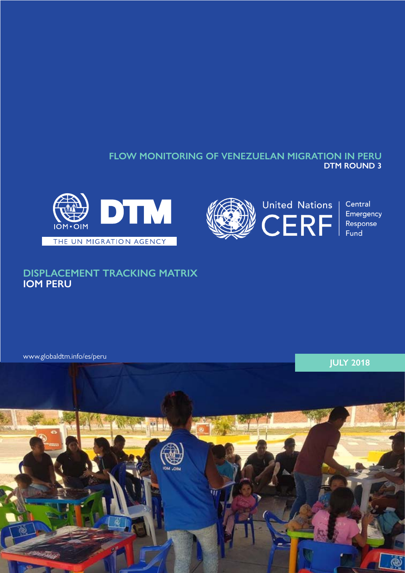## **FLOW MONITORING OF VENEZUELAN MIGRATION IN PERU DTM ROUND 3**





Central Emergency Response Fund

# **DISPLACEMENT TRACKING MATRIX IOM PERU**

[www.globaldtm.info/es/peru](http://www.globaldtm.info/es/peru)

**JULY 2018**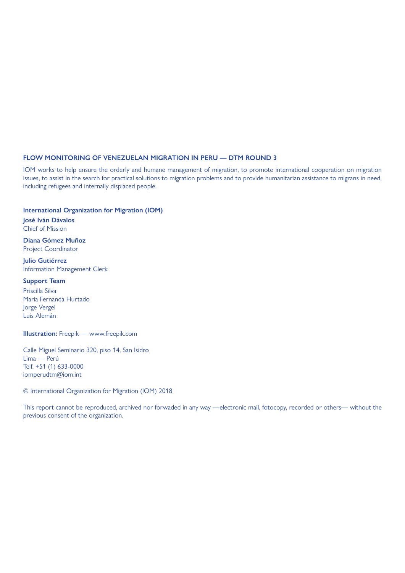#### **FLOW MONITORING OF VENEZUELAN MIGRATION IN PERU — DTM ROUND 3**

IOM works to help ensure the orderly and humane management of migration, to promote international cooperation on migration issues, to assist in the search for practical solutions to migration problems and to provide humanitarian assistance to migrans in need, including refugees and internally displaced people.

**International Organization for Migration (IOM)**

**José Iván Dávalos** Chief of Mission

**Diana Gómez Muñoz** Project Coordinator

**Julio Gutiérrez** Information Management Clerk

**Support Team**

Priscilla Silva Maria Fernanda Hurtado Jorge Vergel Luis Alemán

**Illustration:** Freepik — www.freepik.com

Calle Miguel Seminario 320, piso 14, San Isidro Lima — Perú Telf. +51 (1) 633-0000 iomperudtm@iom.int

© International Organization for Migration (IOM) 2018

This report cannot be reproduced, archived nor forwaded in any way —electronic mail, fotocopy, recorded or others— without the previous consent of the organization.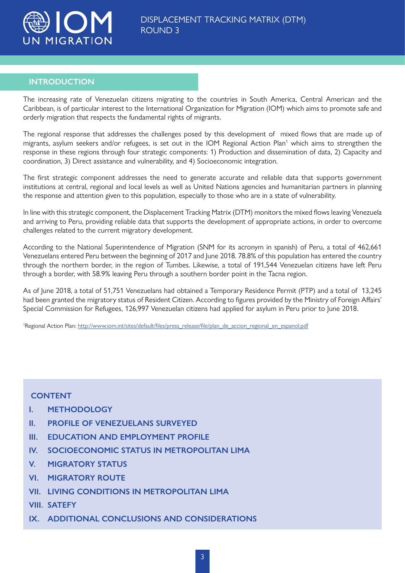

## **INTRODUCTION**

The increasing rate of Venezuelan citizens migrating to the countries in South America, Central American and the Caribbean, is of particular interest to the International Organization for Migration (IOM) which aims to promote safe and orderly migration that respects the fundamental rights of migrants.

The regional response that addresses the challenges posed by this development of mixed flows that are made up of migrants, asylum seekers and/or refugees, is set out in the IOM Regional Action Plan<sup>1</sup> which aims to strengthen the response in these regions through four strategic components: 1) Production and dissemination of data, 2) Capacity and coordination, 3) Direct assistance and vulnerability, and 4) Socioeconomic integration.

The first strategic component addresses the need to generate accurate and reliable data that supports government institutions at central, regional and local levels as well as United Nations agencies and humanitarian partners in planning the response and attention given to this population, especially to those who are in a state of vulnerability.

In line with this strategic component, the Displacement Tracking Matrix (DTM) monitors the mixed flows leaving Venezuela and arriving to Peru, providing reliable data that supports the development of appropriate actions, in order to overcome challenges related to the current migratory development.

According to the National Superintendence of Migration (SNM for its acronym in spanish) of Peru, a total of 462,661 Venezuelans entered Peru between the beginning of 2017 and June 2018. 78.8% of this population has entered the country through the northern border, in the region of Tumbes. Likewise, a total of 191,544 Venezuelan citizens have left Peru through a border, with 58.9% leaving Peru through a southern border point in the Tacna region.

As of June 2018, a total of 51,751 Venezuelans had obtained a Temporary Residence Permit (PTP) and a total of 13,245 had been granted the migratory status of Resident Citizen. According to figures provided by the Ministry of Foreign Affairs' Special Commission for Refugees, 126,997 Venezuelan citizens had applied for asylum in Peru prior to June 2018.

<sup>1</sup>Regional Action Plan: [http://www.iom.int/sites/default/files/press\\_release/file/plan\\_de\\_accion\\_regional\\_en\\_espanol.pdf](http://www.iom.int/sites/default/files/press_release/file/plan_de_accion_regional_en_espanol.pdf)

## **CONTENT**

- **I. [METHODOLOGY](#page-3-0)**
- **II. [PROFILE OF VENEZUELANS SURVEYED](#page-4-0)**
- **III. EDUCATION AND EMPLOYMENT PROFILE**
- **IV. [SOCIOECONOMIC STATUS IN METROPOLITAN LIMA](#page-6-0)**
- **V. MIGRATORY STATUS**
- **VI. MIGRATORY ROUTE**
- **VII. LIVING CONDITIONS IN METROPOLITAN LIM[A](#page-10-0)**
- **VIII. SATEFY**
- **IX. ADDITIONAL CONCLUSIONS AND CONSIDERATION[S](#page-15-0)**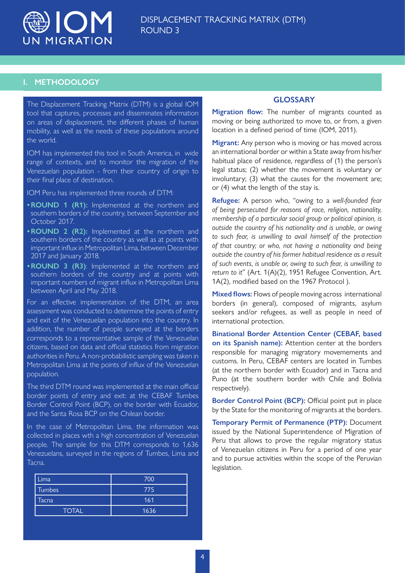<span id="page-3-0"></span>

## **I. METHODOLOGY**

The Displacement Tracking Matrix (DTM) is a global IOM tool that captures, processes and disseminates information on areas of displacement, the different phases of human mobility, as well as the needs of these populations around the world.

IOM has implemented this tool in South America, in wide range of contexts, and to monitor the migration of the Venezuelan population - from their country of origin to their final place of destination.

IOM Peru has implemented three rounds of DTM:

- **•ROUND 1 (R1):** Implemented at the northern and southern borders of the country, between September and October 2017.
- **•ROUND 2 (R2):** Implemented at the northern and southern borders of the country as well as at points with important influx in Metropolitan Lima, between December 2017 and January 2018.
- **•ROUND 3 (R3)**: Implemented at the northern and southern borders of the country and at points with important numbers of migrant influx in Metropolitan Lima between April and May 2018.

For an effective implementation of the DTM, an area assessment was conducted to determine the points of entry and exit of the Venezuelan population into the country. In addition, the number of people surveyed at the borders corresponds to a representative sample of the Venezuelan citizens, based on data and official statistics from migration authorities in Peru. A non-probabilistic sampling was taken in Metropolitan Lima at the points of influx of the Venezuelan population.

The third DTM round was implemented at the main official border points of entry and exit: at the CEBAF Tumbes Border Control Point (BCP), on the border with Ecuador, and the Santa Rosa BCP on the Chilean border.

In the case of Metropolitan Lima, the information was collected in places wth a high concentration of Venezuelan people. The sample for this DTM corresponds to 1,636 Venezuelans, surveyed in the regions of Tumbes, Lima and Tacna.

| Lima          | 700  |
|---------------|------|
| <b>Tumbes</b> | 775  |
| Tacna         | 161  |
| <b>TOTAL</b>  | 1636 |

## **GLOSSARY**

**Migration flow:** The number of migrants counted as moving or being authorized to move to, or from, a given location in a defined period of time (IOM, 2011).

**Migrant:** Any person who is moving or has moved across an international border or within a State away from his/her habitual place of residence, regardless of (1) the person's legal status; (2) whether the movement is voluntary or involuntary; (3) what the causes for the movement are; or (4) what the length of the stay is.

**Refugee:** A person who, "owing to a *well-founded fear of being persecuted for reasons of race, religion, nationality, membership of a particular social group or political opinion, is outside the country of his nationality and is unable, or owing to such fear, is unwilling to avail himself of the protection of that country; or who, not having a nationality and being outside the country of his former habitual residence as a result of such events, is unable or, owing to such fear, is unwilling to return to it*" (Art. 1(A)(2), 1951 Refugee Convention, Art. 1A(2), modified based on the 1967 Protocol ).

**Mixed flows:** Flows of people moving across international borders (in general), composed of migrants, asylum seekers and/or refugees, as well as people in need of international protection.

**Binational Border Attention Center (CEBAF, based on its Spanish name):** Attention center at the borders responsible for managing migratory movemements and customs. In Peru, CEBAF centers are located in Tumbes (at the northern border with Ecuador) and in Tacna and Puno (at the southern border with Chile and Bolivia respectively).

**Border Control Point (BCP):** Official point put in place by the State for the monitoring of migrants at the borders.

**Temporary Permit of Permanence (PTP):** Document issued by the National Superintendence of Migration of Peru that allows to prove the regular migratory status of Venezuelan citizens in Peru for a period of one year and to pursue activities within the scope of the Peruvian legislation.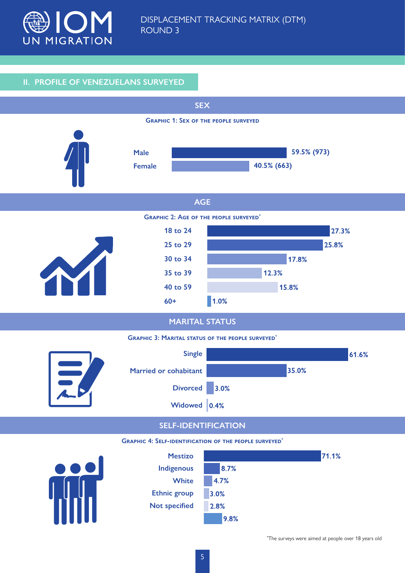<span id="page-4-0"></span>

## **II. PROFILE OF VENEZUELANS SURVEYED**



\* The surveys were aimed at people over 18 years old

9.8%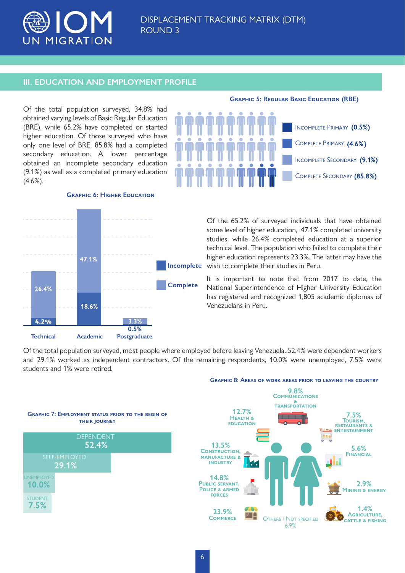

## **III. EDUCATION AND EMPLOYMENT PROFILE**

Of the total population surveyed, 34.8% had obtained varying levels of Basic Regular Education (BRE), while 65.2% have completed or started higher education. Of those surveyed who have only one level of BRE, 85.8% had a completed secondary education. A lower percentage obtained an incomplete secondary education (9.1%) as well as a completed primary education  $(4.6\%)$ .



#### **Graphic 6: Higher Education**



Of the 65.2% of surveyed individuals that have obtained some level of higher education, 47.1% completed university studies, while 26.4% completed education at a superior technical level. The population who failed to complete their higher education represents 23.3%. The latter may have the Incomplete wish to complete their studies in Peru.

> It is important to note that from 2017 to date, the National Superintendence of Higher University Education has registered and recognized 1,805 academic diplomas of Venezuelans in Peru.

Of the total population surveyed, most people where employed before leaving Venezuela. 52.4% were dependent workers and 29.1% worked as independent contractors. Of the remaining respondents, 10.0% were unemployed, 7.5% were students and 1% were retired.





6.9%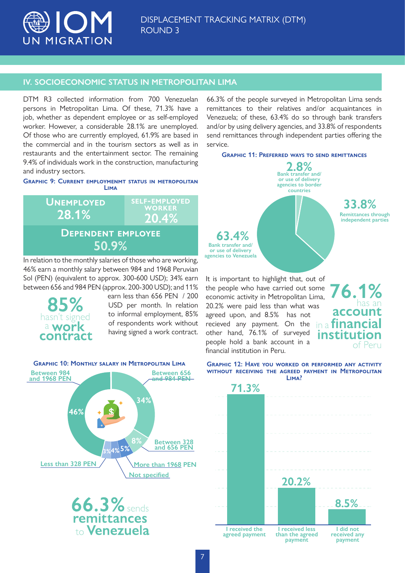<span id="page-6-0"></span>

## **IV. SOCIOECONOMIC STATUS IN METROPOLITAN LIMA**

DTM R3 collected information from 700 Venezuelan persons in Metropolitan Lima. Of these, 71.3% have a job, whether as dependent employee or as self-employed worker. However, a considerable 28.1% are unemployed. Of those who are currently employed, 61.9% are based in the commercial and in the tourism sectors as well as in restaurants and the entertainment sector. The remaining 9.4% of individuals work in the construction, manufacturing and industry sectors.

#### **Graphic 9: Current employmenmt status in metropolitan Lima**



In relation to the monthly salaries of those who are working, 46% earn a monthly salary between 984 and 1968 Peruvian Sol (PEN) (equivalent to approx. 300-600 USD); 34% earn between 656 and 984 PEN (approx. 200-300 USD); and 11%



earn less than 656 PEN / 200 USD per month. In relation to informal employment, 85% of respondents work without having signed a work contract.



66.3% of the people surveyed in Metropolitan Lima sends remittances to their relatives and/or acquaintances in Venezuela; of these, 63.4% do so through bank transfers and/or by using delivery agencies, and 33.8% of respondents send remittances through independent parties offering the service.

**Graphic 11: Preferred ways to send remittances**



It is important to highlight that, out of the people who have carried out some economic activity in Metropolitan Lima, 20.2% were paid less than what was agreed upon, and 8.5% has not recieved any payment. On the other hand, 76.1% of surveyed people hold a bank account in a financial institution in Peru.



**Graphic 12: Have you worked or performed any activity without receiving the agreed payment in Metropolitan Lima?**

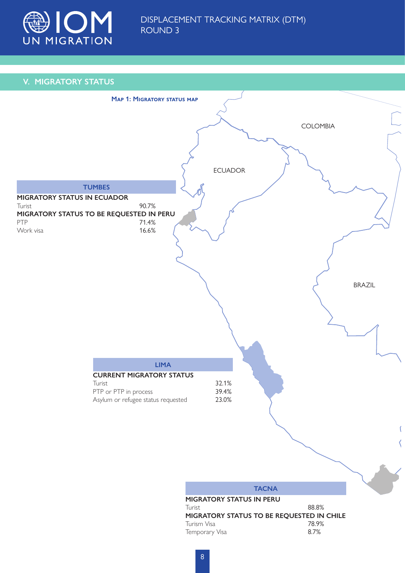

## **V. MIGRATORY STATUS**

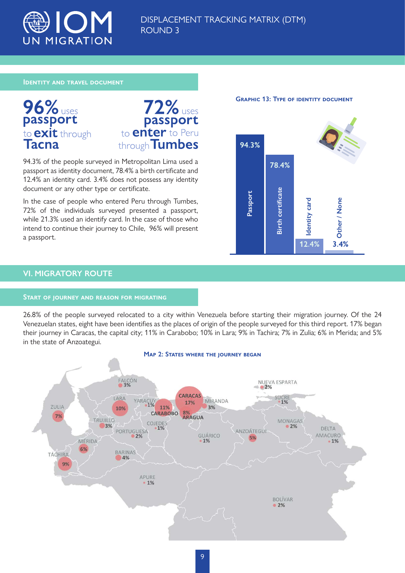

## DISPLACEMENT TRACKING MATRIX (DTM) ROUND 3

#### **Identity and travel document**





94.3% of the people surveyed in Metropolitan Lima used a passport as identity document, 78.4% a birth certificate and 12.4% an identity card. 3.4% does not possess any identity document or any other type or certificate.

In the case of people who entered Peru through Tumbes, 72% of the individuals surveyed presented a passport, while 21.3% used an identify card. In the case of those who intend to continue their journey to Chile, 96% will present a passport.



**GRAPHIC 13: TYPE OF IDENTITY DOCUMENT** 

## **VI. MIGRATORY ROUTE**

#### **Start of journey and reason for migrating**

26.8% of the people surveyed relocated to a city within Venezuela before starting their migration journey. Of the 24 Venezuelan states, eight have been identifies as the places of origin of the people surveyed for this third report. 17% began their journey in Caracas, the capital city; 11% in Carabobo; 10% in Lara; 9% in Tachira; 7% in Zulia; 6% in Merida; and 5% in the state of Anzoategui. **Map 2: State of those who**<br> **Map 2: State who**<br> **Map 2: State whore the passport**<br> **Map 2: States where the journey began**<br> **Pape 2: States where the journey began**<br>
Map 2: States where the journey began<br>
Pap 2: States wh

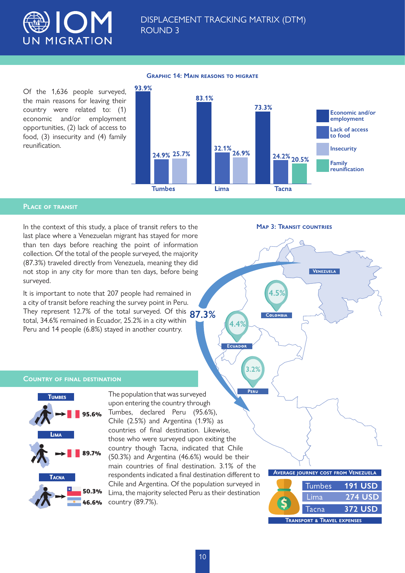

Of the 1,636 people surveyed, the main reasons for leaving their country were related to: (1) economic and/or employment opportunities, (2) lack of access to food, (3) insecurity and (4) family reunification.



#### **Graphic 14: Main reasons to migrate**

#### **Place of transit**

In the context of this study, a place of transit refers to the **MAP 3: TRANSIT COUNTRIES** last place where a Venezuelan migrant has stayed for more than ten days before reaching the point of information collection. Of the total of the people surveyed, the majority (87.3%) traveled directly from Venezuela, meaning they did not stop in any city for more than ten days, before being surveyed.

It is important to note that 207 people had remained in a city of transit before reaching the survey point in Peru. They represent 12.7% of the total surveyed. Of this **87.3%** total, 34.6% remained in Ecuador, 25.2% in a city within Peru and 14 people (6.8%) stayed in another country.

VENEZUELA

**4.5%**

COLOMBIA

**4.4%**

**CUADO** 

**3.2%**

#### **Country of final destination**



PERL The population that was surveyed upon entering the country through Tumbes, declared Peru (95.6%), Chile (2.5%) and Argentina (1.9%) as countries of final destination. Likewise, those who were surveyed upon exiting the country though Tacna, indicated that Chile (50.3%) and Argentina (46.6%) would be their main countries of final destination. 3.1% of the respondents indicated a final destination different to Chile and Argentina. Of the population surveyed in Lima, the majority selected Peru as their destination country (89.7%).

#### **Average journey cost from Venezuela**

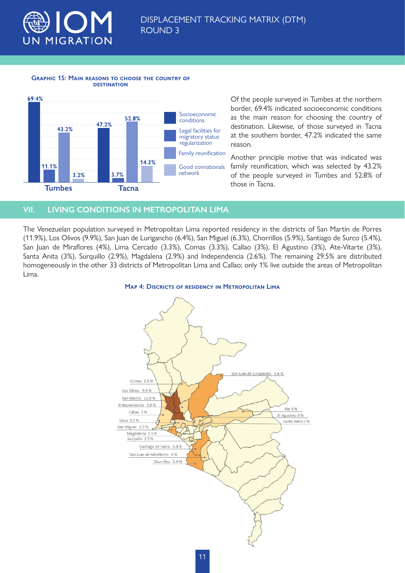<span id="page-10-0"></span>

#### **Graphic 15: Main reasons to choose the country of destination**



Of the people surveyed in Tumbes at the northern border, 69.4% indicated socioeconomic conditions as the main reason for choosing the country of destination. Likewise, of those surveyed in Tacna at the southern border, 47.2% indicated the same reason.

Another principle motive that was indicated was family reunification, which was selected by 43.2% of the people surveyed in Tumbes and 52.8% of those in Tacna.

## **VII. LIVING CONDITIONS IN METROPOLITAN LIMA**

The Venezuelan population surveyed in Metropolitan Lima reported residency in the districts of San Martín de Porres (11.9%), Los Olivos (9.9%), San Juan de Lurigancho (6.4%), San Miguel (6.3%), Chorrillos (5.9%), Santiago de Surco (5.4%), San Juan de Miraflores (4%), Lima Cercado (3.3%), Comas (3.3%), Callao (3%), El Agustino (3%), Ate-Vitarte (3%), Santa Anita (3%), Surquillo (2.9%), Magdalena (2.9%) and Independencia (2.6%). The remaining 29.5% are distributed homogeneously in the other 33 districts of Metropolitan Lima and Callao; only 1% live outside the areas of Metropolitan Lima.



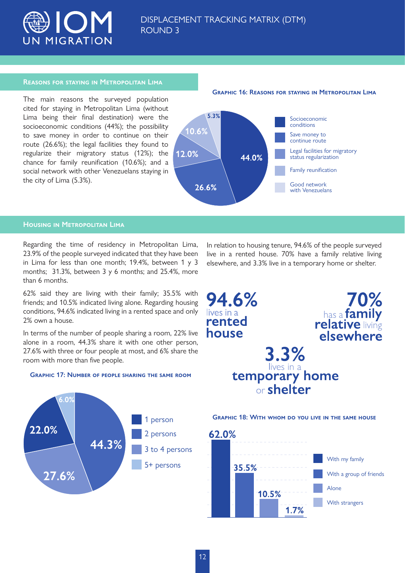

#### **Reasons for staying in Metropolitan Lima**

The main reasons the surveyed population cited for staying in Metropolitan Lima (without Lima being their final destination) were the socioeconomic conditions (44%); the possibility to save money in order to continue on their route (26.6%); the legal facilities they found to regularize their migratory status (12%); the chance for family reunification (10.6%); and a social network with other Venezuelans staying in the city of Lima (5.3%).





### **Housing in Metropolitan Lima**

. റൗ

27.6%

22.0%

Regarding the time of residency in Metropolitan Lima, 23.9% of the people surveyed indicated that they have been in Lima for less than one month; 19.4%, between 1 y 3 months; 31.3%, between 3 y 6 months; and 25.4%, more than 6 months.

62% said they are living with their family; 35.5% with friends; and 10.5% indicated living alone. Regarding housing conditions, 94.6% indicated living in a rented space and only 2% own a house.

In terms of the number of people sharing a room, 22% live alone in a room, 44.3% share it with one other person, 27.6% with three or four people at most, and 6% share the room with more than five people.



44.3%

person

2 persons

3 to 4 persons

In relation to housing tenure, 94.6% of the people surveyed live in a rented house. 70% have a family relative living elsewhere, and 3.3% live in a temporary home or shelter.

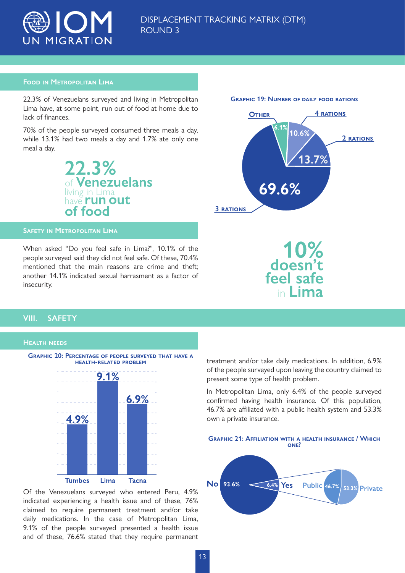

### **Food in Metropolitan Lima**

22.3% of Venezuelans surveyed and living in Metropolitan Lima have, at some point, run out of food at home due to lack of finances.

70% of the people surveyed consumed three meals a day, while 13.1% had two meals a day and 1.7% ate only one meal a day.



#### **Safety in Metropolitan Lima**

When asked "Do you feel safe in Lima?", 10.1% of the people surveyed said they did not feel safe. Of these, 70.4% mentioned that the main reasons are crime and theft; another 14.1% indicated sexual harrasment as a factor of insecurity.



10%<br>doesn't feel safe

## **VIII. SAFETY**

#### **Health needs**



Of the Venezuelans surveyed who entered Peru, 4.9% indicated experiencing a health issue and of these, 76% claimed to require permanent treatment and/or take daily medications. In the case of Metropolitan Lima, 9.1% of the people surveyed presented a health issue and of these, 76.6% stated that they require permanent treatment and/or take daily medications. In addition, 6.9% of the people surveyed upon leaving the country claimed to present some type of health problem.

In Metropolitan Lima, only 6.4% of the people surveyed confirmed having health insurance. Of this population, 46.7% are affiliated with a public health system and 53.3% own a private insurance.



#### **Graphic 19: Number of daily food rations**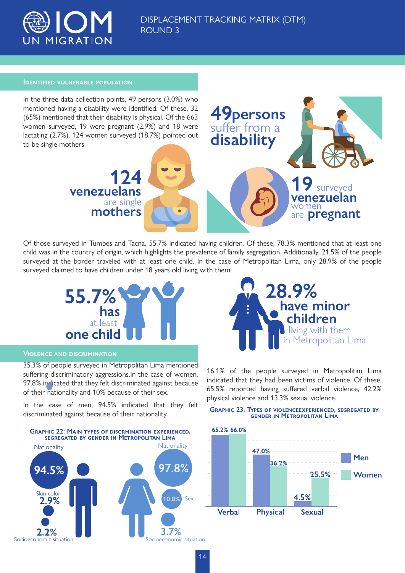

suffer from a **disability**

**persons**

#### **Identified vulnerable population**

In the three data collection points, 49 persons (3.0%) who mentioned having a disability were identified. Of these, 32 (65%) mentioned that their disability is physical. Of the 663 women surveyed, 19 were pregnant (2.9%) and 18 were lactating (2.7%). 124 women surveyed (18.7%) pointed out to be single mothers.



Of those surveyed in Tumbes and Tacna, 55.7% indicated having children. Of these, 78.3% mentioned that at least one child was in the country of origin, which highlights the prevalence of family segregation. Additionally, 21.5% of the people surveyed at the border traveled with at least one child. In the case of Metropolitan Lima, only 28.9% of the people surveyed claimed to have children under 18 years old living with them.



### **Violence and discrimination**

35.3% of people surveyed in Metropolitan Lima mentioned suffering discriminatory aggressions.In the case of women, 97.8% indicated that they felt discriminated against because of their nationality and 10% because of their sex.

In the case of men, 94.5% indicated that they felt discriminated against because of their nationality.





16.1% of the people surveyed in Metropolitan Lima indicated that they had been victims of violence. Of these, 65.5% reported having suffered verbal violence, 42.2% physical violence and 13.3% sexual violence.

#### **Graphic 23: Types of violenceexperienced, segregated by gender in Metropolitan Lima**

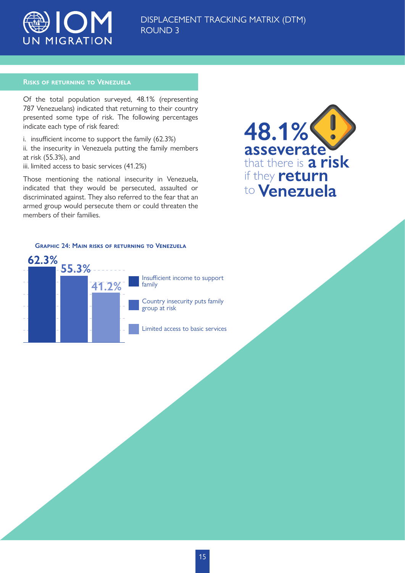

#### **Risks of returning to Venezuela**

Of the total population surveyed, 48.1% (representing 787 Venezuelans) indicated that returning to their country presented some type of risk. The following percentages indicate each type of risk feared:

i. insufficient income to support the family (62.3%) ii. the insecurity in Venezuela putting the family members at risk (55.3%), and iii. limited access to basic services (41.2%)

Those mentioning the national insecurity in Venezuela, indicated that they would be persecuted, assaulted or discriminated against. They also referred to the fear that an armed group would persecute them or could threaten the members of their families.



## **Graphic 24: Main risks of returning to Venezuela**

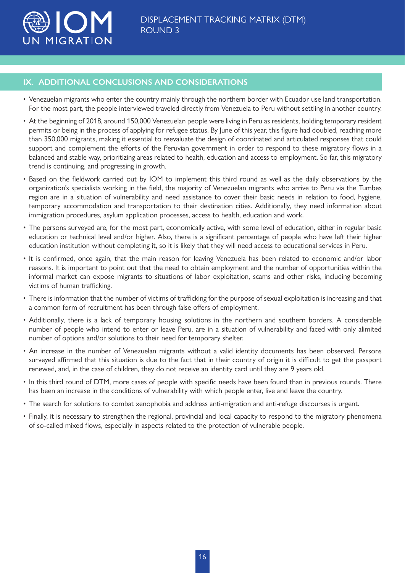<span id="page-15-0"></span>

## **IX. ADDITIONAL CONCLUSIONS AND CONSIDERATIONS**

- Venezuelan migrants who enter the country mainly through the northern border with Ecuador use land transportation. For the most part, the people interviewed traveled directly from Venezuela to Peru without settling in another country.
- At the beginning of 2018, around 150,000 Venezuelan people were living in Peru as residents, holding temporary resident permits or being in the process of applying for refugee status. By June of this year, this figure had doubled, reaching more than 350,000 migrants, making it essential to reevaluate the design of coordinated and articulated responses that could support and complement the efforts of the Peruvian government in order to respond to these migratory flows in a balanced and stable way, prioritizing areas related to health, education and access to employment. So far, this migratory trend is continuing, and progressing in growth.
- Based on the fieldwork carried out by IOM to implement this third round as well as the daily observations by the organization's specialists working in the field, the majority of Venezuelan migrants who arrive to Peru via the Tumbes region are in a situation of vulnerability and need assistance to cover their basic needs in relation to food, hygiene, temporary accommodation and transportation to their destination cities. Additionally, they need information about immigration procedures, asylum application processes, access to health, education and work.
- The persons surveyed are, for the most part, economically active, with some level of education, either in regular basic education or technical level and/or higher. Also, there is a significant percentage of people who have left their higher education institution without completing it, so it is likely that they will need access to educational services in Peru.
- It is confirmed, once again, that the main reason for leaving Venezuela has been related to economic and/or labor reasons. It is important to point out that the need to obtain employment and the number of opportunities within the informal market can expose migrants to situations of labor exploitation, scams and other risks, including becoming victims of human trafficking.
- There is information that the number of victims of trafficking for the purpose of sexual exploitation is increasing and that a common form of recruitment has been through false offers of employment.
- Additionally, there is a lack of temporary housing solutions in the northern and southern borders. A considerable number of people who intend to enter or leave Peru, are in a situation of vulnerability and faced with only alimited number of options and/or solutions to their need for temporary shelter.
- An increase in the number of Venezuelan migrants without a valid identity documents has been observed. Persons surveyed affirmed that this situation is due to the fact that in their country of origin it is difficult to get the passport renewed, and, in the case of children, they do not receive an identity card until they are 9 years old.
- In this third round of DTM, more cases of people with specific needs have been found than in previous rounds. There has been an increase in the conditions of vulnerability with which people enter, live and leave the country.
- The search for solutions to combat xenophobia and address anti-migration and anti-refuge discourses is urgent.
- Finally, it is necessary to strengthen the regional, provincial and local capacity to respond to the migratory phenomena of so-called mixed flows, especially in aspects related to the protection of vulnerable people.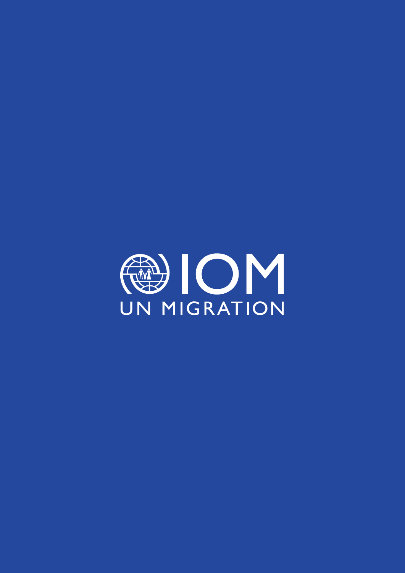